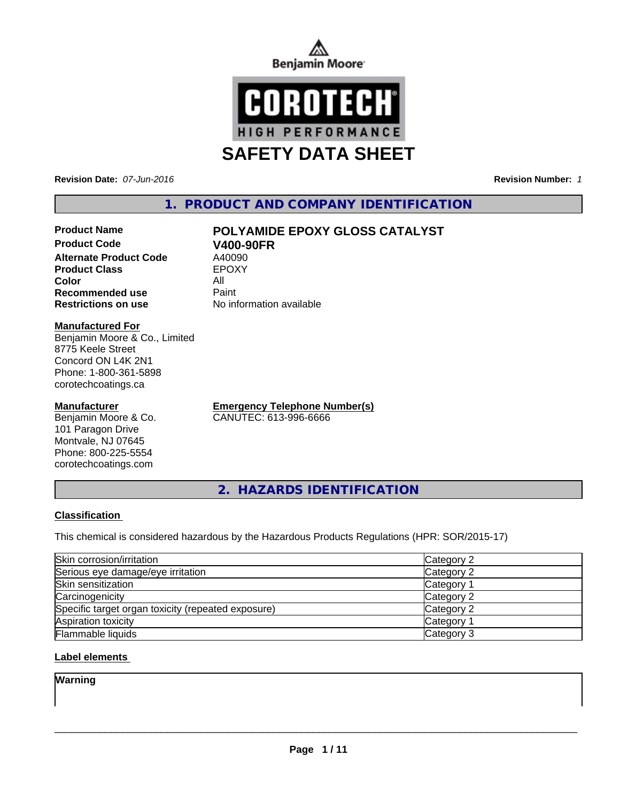



**Revision Date:** *07-Jun-2016* **Revision Number:** *1*

# **1. PRODUCT AND COMPANY IDENTIFICATION**

# **Product Name POLYAMIDE EPOXY GLOSS CATALYST**

**Product Code V400-90FR**<br> **Alternate Product Code** A40090 **Alternate Product Code** A40090<br> **Product Class** EPOXY **Product Class Color** All **Recommended use Paint Restrictions on use** No information available

### **Manufactured For**

Benjamin Moore & Co., Limited 8775 Keele Street Concord ON L4K 2N1 Phone: 1-800-361-5898 corotechcoatings.ca

### **Manufacturer**

Benjamin Moore & Co. 101 Paragon Drive Montvale, NJ 07645 Phone: 800-225-5554 corotechcoatings.com

**Emergency Telephone Number(s)** CANUTEC: 613-996-6666

**2. HAZARDS IDENTIFICATION**

## **Classification**

This chemical is considered hazardous by the Hazardous Products Regulations (HPR: SOR/2015-17)

| Skin corrosion/irritation                          | Category 2            |
|----------------------------------------------------|-----------------------|
| Serious eye damage/eye irritation                  | Category 2            |
| Skin sensitization                                 | Category <sup>1</sup> |
| Carcinogenicity                                    | Category 2            |
| Specific target organ toxicity (repeated exposure) | Category 2            |
| Aspiration toxicity                                | Category <sup>2</sup> |
| <b>Flammable liquids</b>                           | Category 3            |

## **Label elements**

**Warning**

 $\overline{\phantom{a}}$  ,  $\overline{\phantom{a}}$  ,  $\overline{\phantom{a}}$  ,  $\overline{\phantom{a}}$  ,  $\overline{\phantom{a}}$  ,  $\overline{\phantom{a}}$  ,  $\overline{\phantom{a}}$  ,  $\overline{\phantom{a}}$  ,  $\overline{\phantom{a}}$  ,  $\overline{\phantom{a}}$  ,  $\overline{\phantom{a}}$  ,  $\overline{\phantom{a}}$  ,  $\overline{\phantom{a}}$  ,  $\overline{\phantom{a}}$  ,  $\overline{\phantom{a}}$  ,  $\overline{\phantom{a}}$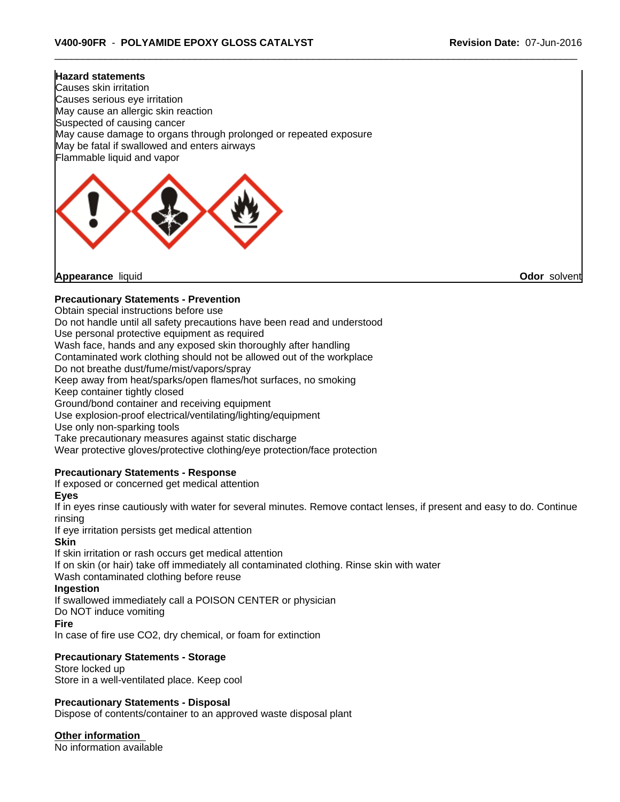#### **Hazard statements**

Causes skin irritation Causes serious eye irritation May cause an allergic skin reaction Suspected of causing cancer May cause damage to organs through prolonged or repeated exposure May be fatal if swallowed and enters airways Flammable liquid and vapor



**Appearance** liquid **Odor** solvent

## **Precautionary Statements - Prevention**

Obtain special instructions before use

Do not handle until all safety precautions have been read and understood

Use personal protective equipment as required

Wash face, hands and any exposed skin thoroughly after handling

Contaminated work clothing should not be allowed out of the workplace

Do not breathe dust/fume/mist/vapors/spray

Keep away from heat/sparks/open flames/hot surfaces, no smoking

Keep container tightly closed

Ground/bond container and receiving equipment

Use explosion-proof electrical/ventilating/lighting/equipment

Use only non-sparking tools

Take precautionary measures against static discharge

Wear protective gloves/protective clothing/eye protection/face protection

## **Precautionary Statements - Response**

If exposed or concerned get medical attention

**Eyes**

If in eyes rinse cautiously with water for several minutes. Remove contact lenses, if present and easy to do. Continue rinsing

If eye irritation persists get medical attention

### **Skin**

If skin irritation or rash occurs get medical attention If on skin (or hair) take off immediately all contaminated clothing. Rinse skin with water Wash contaminated clothing before reuse

## **Ingestion**

If swallowed immediately call a POISON CENTER or physician

Do NOT induce vomiting

### **Fire**

In case of fire use CO2, dry chemical, or foam for extinction

## **Precautionary Statements - Storage**

Store locked up Store in a well-ventilated place. Keep cool

## **Precautionary Statements - Disposal**

Dispose of contents/container to an approved waste disposal plant

**Other information**

No information available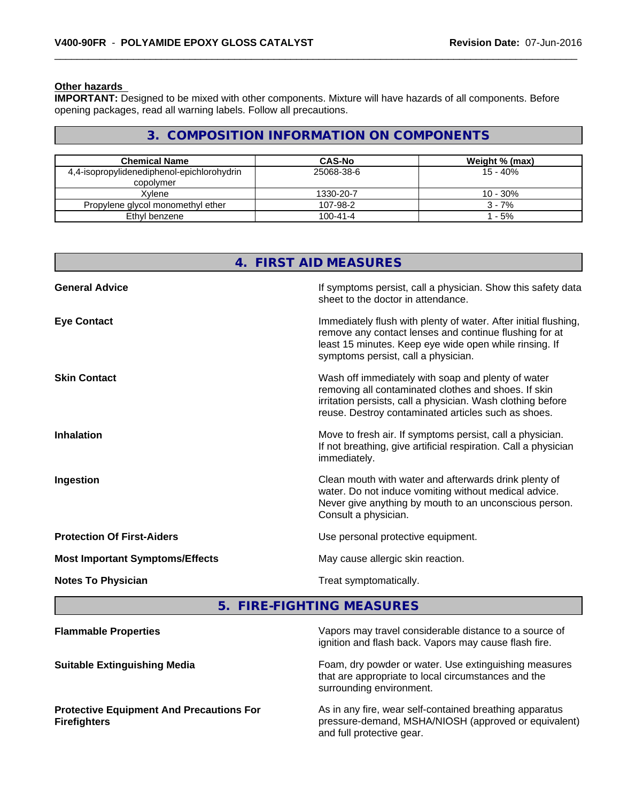#### **Other hazards**

**IMPORTANT:** Designed to be mixed with other components. Mixture will have hazards of all components. Before opening packages, read all warning labels. Follow all precautions.

# **3. COMPOSITION INFORMATION ON COMPONENTS**

| <b>Chemical Name</b>                                    | <b>CAS-No</b>  | Weight % (max) |
|---------------------------------------------------------|----------------|----------------|
| 4,4-isopropylidenediphenol-epichlorohydrin<br>copolymer | 25068-38-6     | 15 - 40%       |
| Xvlene                                                  | 1330-20-7      | $10 - 30%$     |
| Propylene glycol monomethyl ether                       | 107-98-2       | $3 - 7%$       |
| Ethyl benzene                                           | $100 - 41 - 4$ | $-5%$          |

|                                        | 4. FIRST AID MEASURES                                                                                                                                                                                                            |
|----------------------------------------|----------------------------------------------------------------------------------------------------------------------------------------------------------------------------------------------------------------------------------|
| <b>General Advice</b>                  | If symptoms persist, call a physician. Show this safety data<br>sheet to the doctor in attendance.                                                                                                                               |
| <b>Eye Contact</b>                     | Immediately flush with plenty of water. After initial flushing,<br>remove any contact lenses and continue flushing for at<br>least 15 minutes. Keep eye wide open while rinsing. If<br>symptoms persist, call a physician.       |
| <b>Skin Contact</b>                    | Wash off immediately with soap and plenty of water<br>removing all contaminated clothes and shoes. If skin<br>irritation persists, call a physician. Wash clothing before<br>reuse. Destroy contaminated articles such as shoes. |
| <b>Inhalation</b>                      | Move to fresh air. If symptoms persist, call a physician.<br>If not breathing, give artificial respiration. Call a physician<br>immediately.                                                                                     |
| Ingestion                              | Clean mouth with water and afterwards drink plenty of<br>water. Do not induce vomiting without medical advice.<br>Never give anything by mouth to an unconscious person.<br>Consult a physician.                                 |
| <b>Protection Of First-Aiders</b>      | Use personal protective equipment.                                                                                                                                                                                               |
| <b>Most Important Symptoms/Effects</b> | May cause allergic skin reaction.                                                                                                                                                                                                |
| <b>Notes To Physician</b>              | Treat symptomatically.                                                                                                                                                                                                           |

**5. FIRE-FIGHTING MEASURES**

| <b>Flammable Properties</b>                                            | Vapors may travel considerable distance to a source of<br>ignition and flash back. Vapors may cause flash fire.                              |
|------------------------------------------------------------------------|----------------------------------------------------------------------------------------------------------------------------------------------|
| <b>Suitable Extinguishing Media</b>                                    | Foam, dry powder or water. Use extinguishing measures<br>that are appropriate to local circumstances and the<br>surrounding environment.     |
| <b>Protective Equipment And Precautions For</b><br><b>Firefighters</b> | As in any fire, wear self-contained breathing apparatus<br>pressure-demand, MSHA/NIOSH (approved or equivalent)<br>and full protective gear. |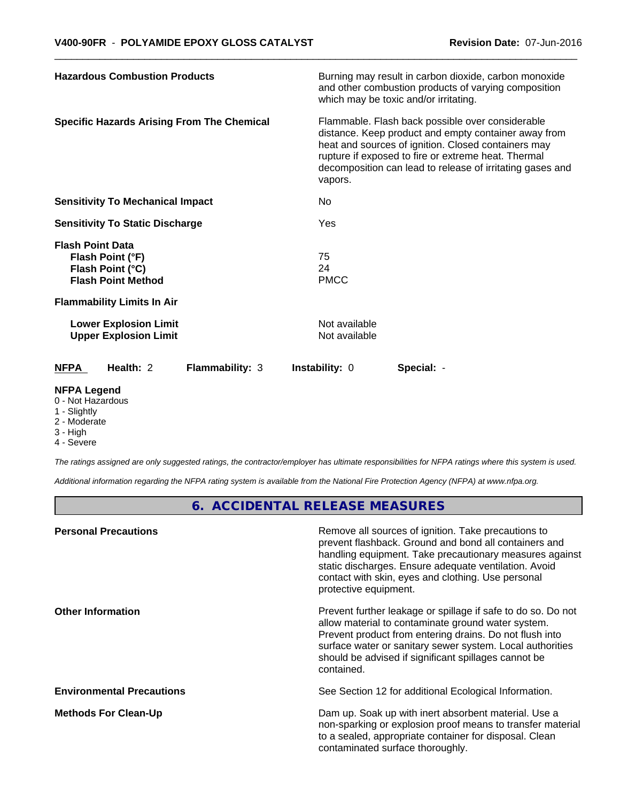| <b>Hazardous Combustion Products</b>                                                         | Burning may result in carbon dioxide, carbon monoxide<br>and other combustion products of varying composition<br>which may be toxic and/or irritating.                                                                                                                                         |  |  |
|----------------------------------------------------------------------------------------------|------------------------------------------------------------------------------------------------------------------------------------------------------------------------------------------------------------------------------------------------------------------------------------------------|--|--|
| <b>Specific Hazards Arising From The Chemical</b>                                            | Flammable. Flash back possible over considerable<br>distance. Keep product and empty container away from<br>heat and sources of ignition. Closed containers may<br>rupture if exposed to fire or extreme heat. Thermal<br>decomposition can lead to release of irritating gases and<br>vapors. |  |  |
| <b>Sensitivity To Mechanical Impact</b>                                                      | No                                                                                                                                                                                                                                                                                             |  |  |
| <b>Sensitivity To Static Discharge</b>                                                       | Yes                                                                                                                                                                                                                                                                                            |  |  |
| <b>Flash Point Data</b><br>Flash Point (°F)<br>Flash Point (°C)<br><b>Flash Point Method</b> | 75<br>24<br><b>PMCC</b>                                                                                                                                                                                                                                                                        |  |  |
| <b>Flammability Limits In Air</b>                                                            |                                                                                                                                                                                                                                                                                                |  |  |
| <b>Lower Explosion Limit</b><br><b>Upper Explosion Limit</b>                                 | Not available<br>Not available                                                                                                                                                                                                                                                                 |  |  |
| <b>NFPA</b><br>Health: 2<br><b>Flammability: 3</b>                                           | Instability: 0<br>Special: -                                                                                                                                                                                                                                                                   |  |  |
| <b>NFPA Legend</b>                                                                           |                                                                                                                                                                                                                                                                                                |  |  |

### 0 - Not Hazardous

- 1 Slightly
- 2 Moderate
- 3 High
- 4 Severe

*The ratings assigned are only suggested ratings, the contractor/employer has ultimate responsibilities for NFPA ratings where this system is used.*

*Additional information regarding the NFPA rating system is available from the National Fire Protection Agency (NFPA) at www.nfpa.org.*

**6. ACCIDENTAL RELEASE MEASURES**

| <b>Personal Precautions</b>      | Remove all sources of ignition. Take precautions to<br>prevent flashback. Ground and bond all containers and<br>handling equipment. Take precautionary measures against<br>static discharges. Ensure adequate ventilation. Avoid<br>contact with skin, eyes and clothing. Use personal<br>protective equipment.  |
|----------------------------------|------------------------------------------------------------------------------------------------------------------------------------------------------------------------------------------------------------------------------------------------------------------------------------------------------------------|
| <b>Other Information</b>         | Prevent further leakage or spillage if safe to do so. Do not<br>allow material to contaminate ground water system.<br>Prevent product from entering drains. Do not flush into<br>surface water or sanitary sewer system. Local authorities<br>should be advised if significant spillages cannot be<br>contained. |
| <b>Environmental Precautions</b> | See Section 12 for additional Ecological Information.                                                                                                                                                                                                                                                            |
| <b>Methods For Clean-Up</b>      | Dam up. Soak up with inert absorbent material. Use a<br>non-sparking or explosion proof means to transfer material<br>to a sealed, appropriate container for disposal. Clean<br>contaminated surface thoroughly.                                                                                                 |
|                                  |                                                                                                                                                                                                                                                                                                                  |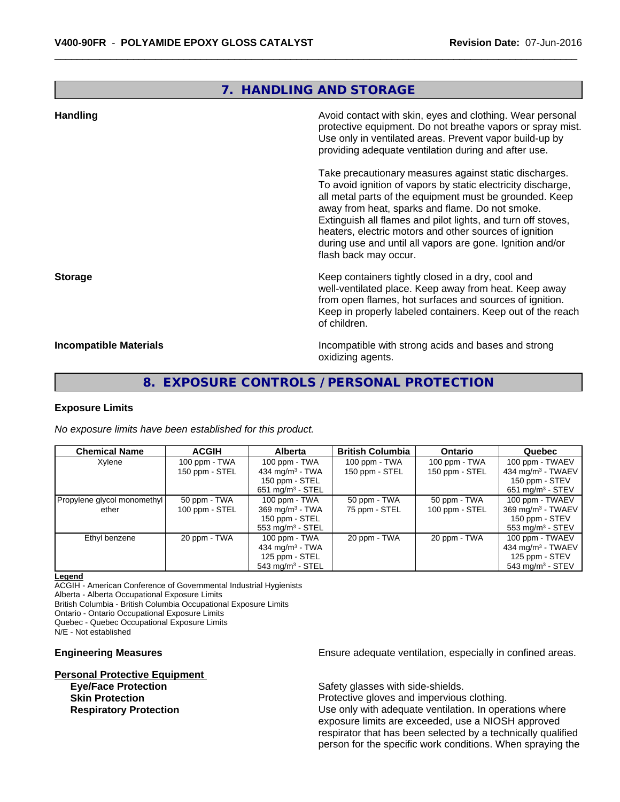## **7. HANDLING AND STORAGE**

| <b>Handling</b>               | Avoid contact with skin, eyes and clothing. Wear personal<br>protective equipment. Do not breathe vapors or spray mist.<br>Use only in ventilated areas. Prevent vapor build-up by<br>providing adequate ventilation during and after use.                                                                                                                                                                                                           |
|-------------------------------|------------------------------------------------------------------------------------------------------------------------------------------------------------------------------------------------------------------------------------------------------------------------------------------------------------------------------------------------------------------------------------------------------------------------------------------------------|
|                               | Take precautionary measures against static discharges.<br>To avoid ignition of vapors by static electricity discharge,<br>all metal parts of the equipment must be grounded. Keep<br>away from heat, sparks and flame. Do not smoke.<br>Extinguish all flames and pilot lights, and turn off stoves,<br>heaters, electric motors and other sources of ignition<br>during use and until all vapors are gone. Ignition and/or<br>flash back may occur. |
| <b>Storage</b>                | Keep containers tightly closed in a dry, cool and<br>well-ventilated place. Keep away from heat. Keep away<br>from open flames, hot surfaces and sources of ignition.<br>Keep in properly labeled containers. Keep out of the reach<br>of children.                                                                                                                                                                                                  |
| <b>Incompatible Materials</b> | Incompatible with strong acids and bases and strong<br>oxidizing agents.                                                                                                                                                                                                                                                                                                                                                                             |

## **8. EXPOSURE CONTROLS / PERSONAL PROTECTION**

## **Exposure Limits**

*No exposure limits have been established for this product.*

| <b>Chemical Name</b>        | <b>ACGIH</b>   | <b>Alberta</b>                 | <b>British Columbia</b> | <b>Ontario</b> | Quebec                          |
|-----------------------------|----------------|--------------------------------|-------------------------|----------------|---------------------------------|
| Xylene                      | 100 ppm - TWA  | 100 ppm - TWA                  | 100 ppm - TWA           | 100 ppm - TWA  | 100 ppm - TWAEV                 |
|                             | 150 ppm - STEL | 434 mg/m $3$ - TWA             | 150 ppm - STEL          | 150 ppm - STEL | 434 mg/m $3$ - TWAEV            |
|                             |                | 150 ppm - STEL                 |                         |                | 150 ppm - STEV                  |
|                             |                | $651 \text{ mg/m}^3$ - STEL    |                         |                | $651 \text{ mg/m}^3$ - STEV     |
| Propylene glycol monomethyl | 50 ppm - TWA   | 100 ppm - $TWA$                | 50 ppm - TWA            | 50 ppm - TWA   | 100 ppm - TWAEV                 |
| ether                       | 100 ppm - STEL | $369$ mg/m <sup>3</sup> - TWA  | 75 ppm - STEL           | 100 ppm - STEL | $369$ mg/m <sup>3</sup> - TWAEV |
|                             |                | 150 ppm - STEL                 |                         |                | 150 ppm - STEV                  |
|                             |                | $553 \text{ mg/m}^3$ - STEL    |                         |                | $553 \text{ mg/m}^3$ - STEV     |
| Ethyl benzene               | 20 ppm - TWA   | 100 ppm - TWA                  | 20 ppm - TWA            | 20 ppm - TWA   | 100 ppm - TWAEV                 |
|                             |                | 434 mg/m $3 - TWA$             |                         |                | $434$ mg/m <sup>3</sup> - TWAEV |
|                             |                | 125 ppm - STEL                 |                         |                | 125 ppm - STEV                  |
|                             |                | $543$ mg/m <sup>3</sup> - STEL |                         |                | 543 mg/m <sup>3</sup> - STEV    |

#### **Legend**

ACGIH - American Conference of Governmental Industrial Hygienists

Alberta - Alberta Occupational Exposure Limits

British Columbia - British Columbia Occupational Exposure Limits

Ontario - Ontario Occupational Exposure Limits

Quebec - Quebec Occupational Exposure Limits

N/E - Not established

**Personal Protective Equipment**

**Engineering Measures Ensure 2018** Ensure adequate ventilation, especially in confined areas.

**Eye/Face Protection Safety glasses with side-shields.** 

**Skin Protection Protection Protective gloves and impervious clothing. Respiratory Protection Exercise 2018** Use only with adequate ventilation. In operations where exposure limits are exceeded, use a NIOSH approved respirator that has been selected by a technically qualified person for the specific work conditions. When spraying the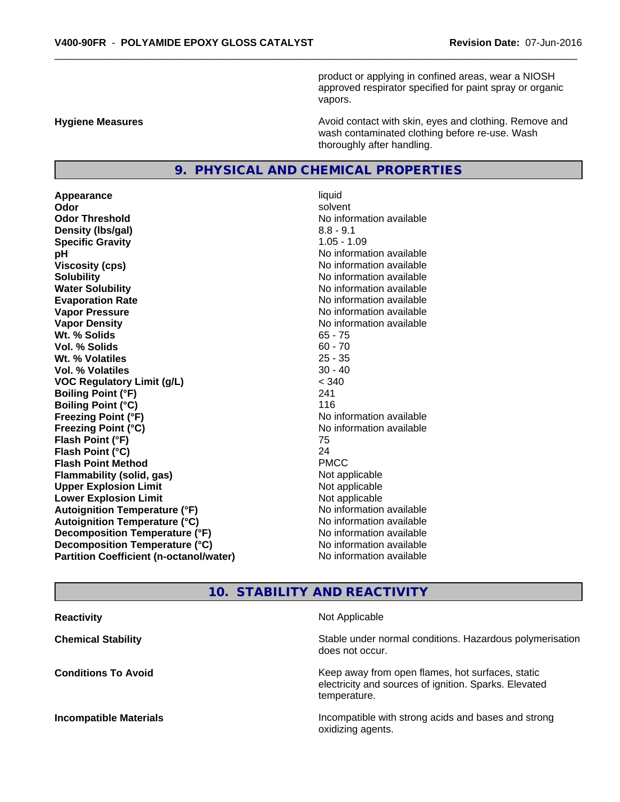product or applying in confined areas, wear a NIOSH approved respirator specified for paint spray or organic vapors.

**Hygiene Measures Avoid contact with skin, eyes and clothing. Remove and Avoid contact with skin, eyes and clothing. Remove and Avoid contact with skin, eyes and clothing. Remove and** wash contaminated clothing before re-use. Wash thoroughly after handling.

## **9. PHYSICAL AND CHEMICAL PROPERTIES**

**Appearance** liquid **Odor** solvent **Odor Threshold No information available No information available Density (lbs/gal)** 8.8 - 9.1 **Specific Gravity** 1.05 - 1.09 **pH pH**  $\blacksquare$ **Viscosity (cps)** No information available **Solubility Note 2008 Note 2008 Note 2008 Note 2008 Note 2008 Note 2008 Note 2008 Note 2008 Note 2008 Note 2008 Note 2008 Note 2008 Note 2008 Note 2008 Note 2008 Note 2008 Note 2008 Note Water Solubility**<br> **Evaporation Rate**<br> **Evaporation Rate**<br> **Evaporation Rate Evaporation Rate Evaporation Rate** No information available<br> **Vapor Pressure** No information available **Vapor Density Vapor Density No information available Wt. % Solids** 65 - 75<br> **Vol. % Solids** 60 - 70 **Vol. % Solids** 60 - 70<br> **Wt. % Volatiles** 60 - 70<br>
25 - 35 W<sub>t.</sub> % Volatiles **Vol. % Volatiles** 30 - 40 **VOC Regulatory Limit (g/L)** < 340 **Boiling Point (°F)** 241 **Boiling Point (°C)** 116 **Freezing Point (°F)** No information available **Freezing Point (°C)** No information available **Flash Point (°F)** 75 **Flash Point (°C)** 24 **Flash Point Method** PMCC **Flammability (solid, gas)** Not applicable **Upper Explosion Limit** Not applicable **Lower Explosion Limit** Not applicable **Autoignition Temperature (°F)**<br> **Autoignition Temperature (°C)** No information available **Autoignition Temperature (°C) Decomposition Temperature (°F)** No information available **Decomposition Temperature (°C)** No information available **Partition Coefficient (n-octanol/water)** No information available

**No information available** 

## **10. STABILITY AND REACTIVITY**

| Not Applicable                                                                                                            |
|---------------------------------------------------------------------------------------------------------------------------|
| Stable under normal conditions. Hazardous polymerisation<br>does not occur.                                               |
| Keep away from open flames, hot surfaces, static<br>electricity and sources of ignition. Sparks. Elevated<br>temperature. |
| Incompatible with strong acids and bases and strong<br>oxidizing agents.                                                  |
|                                                                                                                           |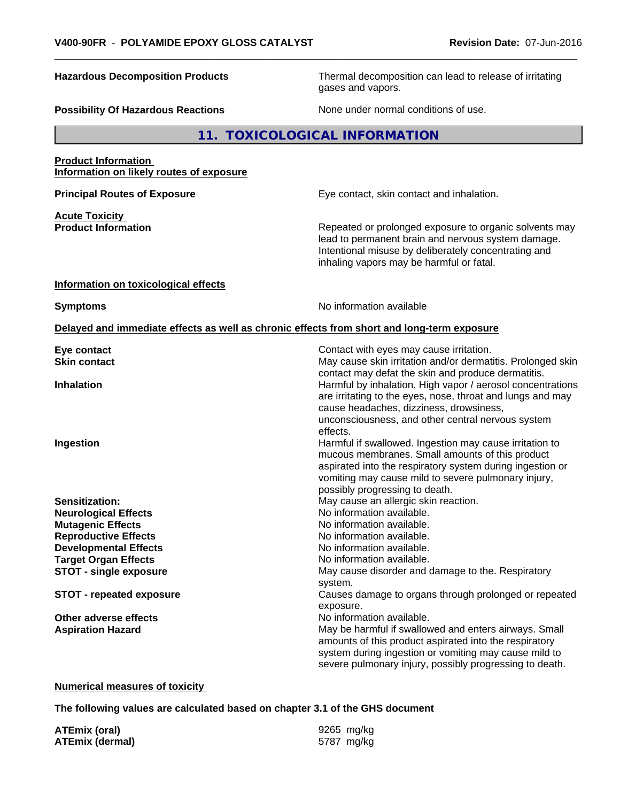**Hazardous Decomposition Products** Thermal decomposition can lead to release of irritating gases and vapors.

**Possibility Of Hazardous Reactions** None under normal conditions of use.

**11. TOXICOLOGICAL INFORMATION**

**Product Information Information on likely routes of exposure**

**Acute Toxicity** 

**Principal Routes of Exposure Exposure** Eye contact, skin contact and inhalation.

**Product Information Repeated or prolonged exposure to organic solvents may** Repeated or prolonged exposure to organic solvents may lead to permanent brain and nervous system damage. Intentional misuse by deliberately concentrating and inhaling vapors may be harmful or fatal.

#### **Information on toxicological effects**

**Symptoms** No information available

## **Delayed and immediate effects as well as chronic effects from short and long-term exposure**

| Eye contact                     | Contact with eyes may cause irritation.                     |  |
|---------------------------------|-------------------------------------------------------------|--|
| <b>Skin contact</b>             | May cause skin irritation and/or dermatitis. Prolonged skin |  |
|                                 | contact may defat the skin and produce dermatitis.          |  |
| <b>Inhalation</b>               | Harmful by inhalation. High vapor / aerosol concentrations  |  |
|                                 | are irritating to the eyes, nose, throat and lungs and may  |  |
|                                 | cause headaches, dizziness, drowsiness,                     |  |
|                                 | unconsciousness, and other central nervous system           |  |
|                                 | effects.                                                    |  |
| Ingestion                       | Harmful if swallowed. Ingestion may cause irritation to     |  |
|                                 | mucous membranes. Small amounts of this product             |  |
|                                 | aspirated into the respiratory system during ingestion or   |  |
|                                 | vomiting may cause mild to severe pulmonary injury,         |  |
|                                 | possibly progressing to death.                              |  |
| Sensitization:                  | May cause an allergic skin reaction.                        |  |
| <b>Neurological Effects</b>     | No information available.                                   |  |
| <b>Mutagenic Effects</b>        | No information available.                                   |  |
| <b>Reproductive Effects</b>     | No information available.                                   |  |
| <b>Developmental Effects</b>    | No information available.                                   |  |
| <b>Target Organ Effects</b>     | No information available.                                   |  |
| <b>STOT - single exposure</b>   | May cause disorder and damage to the. Respiratory           |  |
|                                 | system.                                                     |  |
| <b>STOT - repeated exposure</b> | Causes damage to organs through prolonged or repeated       |  |
|                                 | exposure.                                                   |  |
| Other adverse effects           | No information available.                                   |  |
| <b>Aspiration Hazard</b>        | May be harmful if swallowed and enters airways. Small       |  |
|                                 | amounts of this product aspirated into the respiratory      |  |
|                                 | system during ingestion or vomiting may cause mild to       |  |
|                                 | severe pulmonary injury, possibly progressing to death.     |  |

### **Numerical measures of toxicity**

**The following values are calculated based on chapter 3.1 of the GHS document**

**ATEmix (oral)** 9265 mg/kg **ATEmix (dermal)** 5787 mg/kg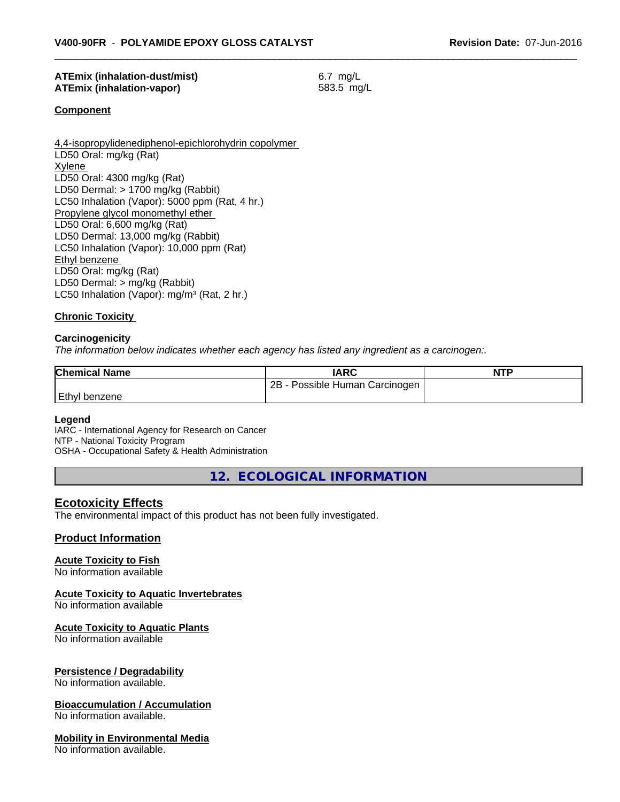## **ATEmix (inhalation-dust/mist)** 6.7 mg/L **ATEmix (inhalation-vapor)** 583.5 mg/L

**Component**

4,4-isopropylidenediphenol-epichlorohydrin copolymer LD50 Oral: mg/kg (Rat) Xylene LD50 Oral: 4300 mg/kg (Rat) LD50 Dermal: > 1700 mg/kg (Rabbit) LC50 Inhalation (Vapor): 5000 ppm (Rat, 4 hr.) Propylene glycol monomethyl ether LD50 Oral: 6,600 mg/kg (Rat) LD50 Dermal: 13,000 mg/kg (Rabbit) LC50 Inhalation (Vapor): 10,000 ppm (Rat) Ethyl benzene LD50 Oral: mg/kg (Rat) LD50 Dermal: > mg/kg (Rabbit) LC50 Inhalation (Vapor): mg/m<sup>3</sup> (Rat, 2 hr.)

### **Chronic Toxicity**

#### **Carcinogenicity**

*The information below indicateswhether each agency has listed any ingredient as a carcinogen:.*

| <b>Chemical Name</b> | <b>IARC</b>                         | <b>NTP</b> |
|----------------------|-------------------------------------|------------|
|                      | $2B -$<br>Possible Human Carcinogen |            |
| Ethyl<br>benzene     |                                     |            |

#### **Legend**

IARC - International Agency for Research on Cancer NTP - National Toxicity Program OSHA - Occupational Safety & Health Administration

**12. ECOLOGICAL INFORMATION**

## **Ecotoxicity Effects**

The environmental impact of this product has not been fully investigated.

## **Product Information**

#### **Acute Toxicity to Fish**

No information available

#### **Acute Toxicity to Aquatic Invertebrates**

No information available

#### **Acute Toxicity to Aquatic Plants**

No information available

### **Persistence / Degradability**

No information available.

### **Bioaccumulation / Accumulation**

No information available.

#### **Mobility in Environmental Media**

No information available.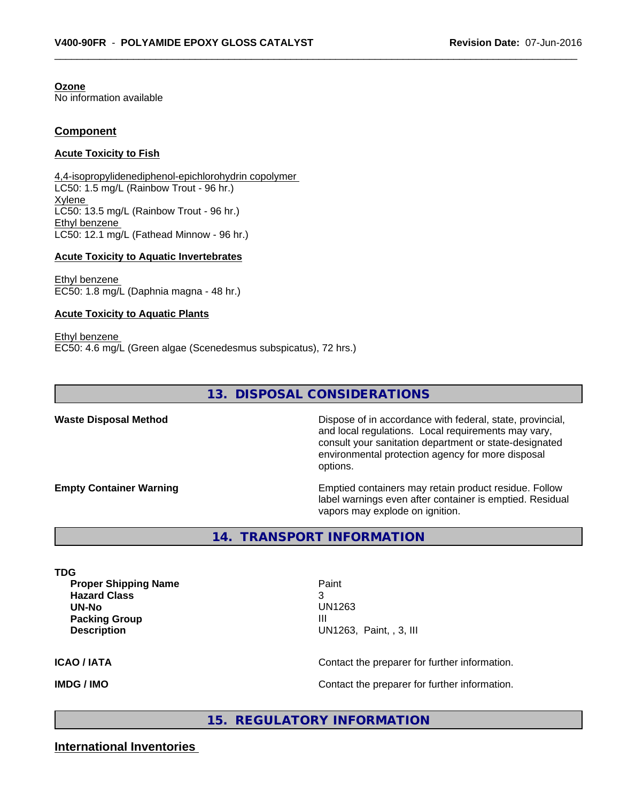**Ozone** No information available

## **Component**

### **Acute Toxicity to Fish**

4,4-isopropylidenediphenol-epichlorohydrin copolymer LC50: 1.5 mg/L (Rainbow Trout - 96 hr.) Xylene LC50: 13.5 mg/L (Rainbow Trout - 96 hr.) Ethyl benzene LC50: 12.1 mg/L (Fathead Minnow - 96 hr.)

#### **Acute Toxicity to Aquatic Invertebrates**

Ethyl benzene EC50: 1.8 mg/L (Daphnia magna - 48 hr.)

#### **Acute Toxicity to Aquatic Plants**

Ethyl benzene EC50: 4.6 mg/L (Green algae (Scenedesmus subspicatus), 72 hrs.)

## **13. DISPOSAL CONSIDERATIONS**

**Waste Disposal Method Dispose of in accordance with federal, state, provincial,** and local regulations. Local requirements may vary, consult your sanitation department or state-designated environmental protection agency for more disposal options.

**Empty Container Warning <b>Emptied** Containers may retain product residue. Follow label warnings even after container is emptied. Residual vapors may explode on ignition.

**14. TRANSPORT INFORMATION**

**TDG Proper Shipping Name Paint Hazard Class** 3 **UN-No** UN1263 **Packing Group III Description** UN1263, Paint, , 3, III

**ICAO / IATA** Contact the preparer for further information.

**IMDG / IMO IMO Contact the preparer for further information.** 

**15. REGULATORY INFORMATION**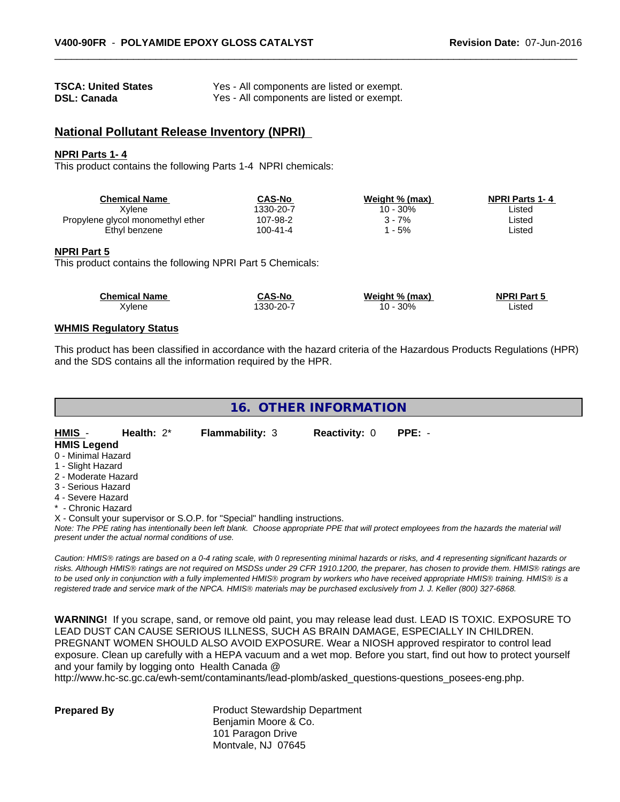| <b>TSCA: United States</b> | Yes - All components are listed or exempt. |
|----------------------------|--------------------------------------------|
| <b>DSL: Canada</b>         | Yes - All components are listed or exempt. |

## **National Pollutant Release Inventory (NPRI)**

#### **NPRI Parts 1- 4**

This product contains the following Parts 1-4 NPRI chemicals:

| <b>Chemical Name</b>              | CAS-No    | Weight % (max) | <b>NPRI Parts 1-4</b> |  |
|-----------------------------------|-----------|----------------|-----------------------|--|
| Xvlene                            | 1330-20-7 | 10 - 30%       | ∟isted                |  |
| Propylene glycol monomethyl ether | 107-98-2  | 7% -           | ∟isted                |  |
| Ethyl benzene                     | 100-41-4  | $-5%$          | ∟isted                |  |

#### **NPRI Part 5**

This product contains the following NPRI Part 5 Chemicals:

| <b>Chemical Name</b> | <b>CAS-No</b> | Weight % (max)    | <b>NPRI Part 5</b> |  |
|----------------------|---------------|-------------------|--------------------|--|
| Xylene               | 330-20-7      | 30%<br>$10 \cdot$ | _isted             |  |

## **WHMIS Regulatory Status**

This product has been classified in accordance with the hazard criteria of the Hazardous Products Regulations (HPR) and the SDS contains all the information required by the HPR.

| 16. OTHER INFORMATION |  |
|-----------------------|--|
|-----------------------|--|

#### **HMIS** - **Health:** 2\* **Flammability:** 3 **Reactivity:** 0 **PPE:** - **HMIS Legend** 0 - Minimal Hazard

- 1 Slight Hazard
- 2 Moderate Hazard
- 3 Serious Hazard
- 4 Severe Hazard
- \* Chronic Hazard

X - Consult your supervisor or S.O.P. for "Special" handling instructions.

*Note: The PPE rating has intentionally been left blank. Choose appropriate PPE that will protect employees from the hazards the material will present under the actual normal conditions of use.*

*Caution: HMISÒ ratings are based on a 0-4 rating scale, with 0 representing minimal hazards or risks, and 4 representing significant hazards or risks. Although HMISÒ ratings are not required on MSDSs under 29 CFR 1910.1200, the preparer, has chosen to provide them. HMISÒ ratings are to be used only in conjunction with a fully implemented HMISÒ program by workers who have received appropriate HMISÒ training. HMISÒ is a registered trade and service mark of the NPCA. HMISÒ materials may be purchased exclusively from J. J. Keller (800) 327-6868.*

**WARNING!** If you scrape, sand, or remove old paint, you may release lead dust. LEAD IS TOXIC. EXPOSURE TO LEAD DUST CAN CAUSE SERIOUS ILLNESS, SUCH AS BRAIN DAMAGE, ESPECIALLY IN CHILDREN. PREGNANT WOMEN SHOULD ALSO AVOID EXPOSURE.Wear a NIOSH approved respirator to control lead exposure. Clean up carefully with a HEPA vacuum and a wet mop. Before you start, find out how to protect yourself and your family by logging onto Health Canada @

http://www.hc-sc.gc.ca/ewh-semt/contaminants/lead-plomb/asked\_questions-questions\_posees-eng.php.

**Prepared By** Product Stewardship Department Benjamin Moore & Co. 101 Paragon Drive Montvale, NJ 07645